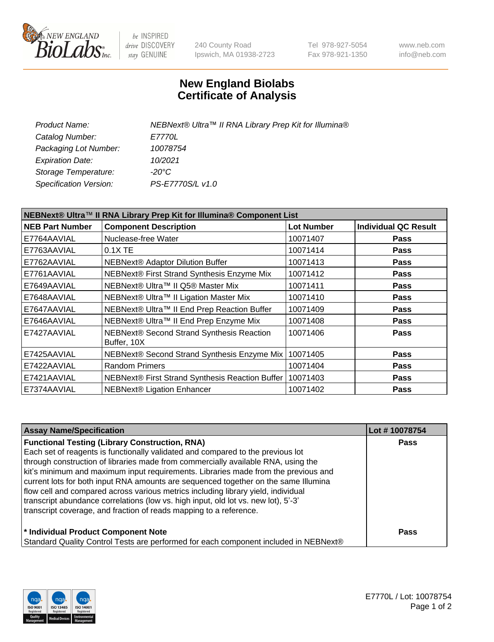

be INSPIRED drive DISCOVERY stay GENUINE

240 County Road Ipswich, MA 01938-2723 Tel 978-927-5054 Fax 978-921-1350 www.neb.com info@neb.com

## **New England Biolabs Certificate of Analysis**

| NEBNext® Ultra™ II RNA Library Prep Kit for Illumina® |
|-------------------------------------------------------|
| <i>E7770L</i>                                         |
| 10078754                                              |
| 10/2021                                               |
| -20°C                                                 |
| PS-E7770S/L v1.0                                      |
|                                                       |

| NEBNext® Ultra™ II RNA Library Prep Kit for Illumina® Component List |                                                          |            |                             |  |
|----------------------------------------------------------------------|----------------------------------------------------------|------------|-----------------------------|--|
| <b>NEB Part Number</b>                                               | <b>Component Description</b>                             | Lot Number | <b>Individual QC Result</b> |  |
| E7764AAVIAL                                                          | Nuclease-free Water                                      | 10071407   | <b>Pass</b>                 |  |
| E7763AAVIAL                                                          | 0.1X TE                                                  | 10071414   | <b>Pass</b>                 |  |
| E7762AAVIAL                                                          | <b>NEBNext® Adaptor Dilution Buffer</b>                  | 10071413   | <b>Pass</b>                 |  |
| E7761AAVIAL                                                          | NEBNext® First Strand Synthesis Enzyme Mix               | 10071412   | Pass                        |  |
| E7649AAVIAL                                                          | NEBNext® Ultra™ II Q5® Master Mix                        | 10071411   | <b>Pass</b>                 |  |
| E7648AAVIAL                                                          | NEBNext® Ultra™ II Ligation Master Mix                   | 10071410   | <b>Pass</b>                 |  |
| E7647AAVIAL                                                          | NEBNext® Ultra™ II End Prep Reaction Buffer              | 10071409   | <b>Pass</b>                 |  |
| E7646AAVIAL                                                          | NEBNext® Ultra™ II End Prep Enzyme Mix                   | 10071408   | <b>Pass</b>                 |  |
| E7427AAVIAL                                                          | NEBNext® Second Strand Synthesis Reaction<br>Buffer, 10X | 10071406   | Pass                        |  |
| E7425AAVIAL                                                          | NEBNext® Second Strand Synthesis Enzyme Mix              | 10071405   | <b>Pass</b>                 |  |
| E7422AAVIAL                                                          | <b>Random Primers</b>                                    | 10071404   | <b>Pass</b>                 |  |
| E7421AAVIAL                                                          | NEBNext® First Strand Synthesis Reaction Buffer          | 10071403   | <b>Pass</b>                 |  |
| E7374AAVIAL                                                          | <b>NEBNext® Ligation Enhancer</b>                        | 10071402   | <b>Pass</b>                 |  |

| <b>Assay Name/Specification</b>                                                      | Lot #10078754 |
|--------------------------------------------------------------------------------------|---------------|
| <b>Functional Testing (Library Construction, RNA)</b>                                | <b>Pass</b>   |
| Each set of reagents is functionally validated and compared to the previous lot      |               |
| through construction of libraries made from commercially available RNA, using the    |               |
| kit's minimum and maximum input requirements. Libraries made from the previous and   |               |
| current lots for both input RNA amounts are sequenced together on the same Illumina  |               |
| flow cell and compared across various metrics including library yield, individual    |               |
| transcript abundance correlations (low vs. high input, old lot vs. new lot), 5'-3'   |               |
| transcript coverage, and fraction of reads mapping to a reference.                   |               |
| * Individual Product Component Note                                                  | <b>Pass</b>   |
| Standard Quality Control Tests are performed for each component included in NEBNext® |               |